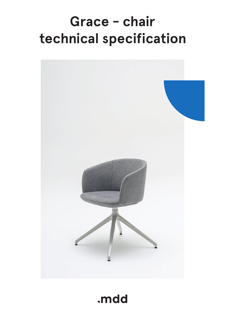# **Grace - chair technical specification**



.mdd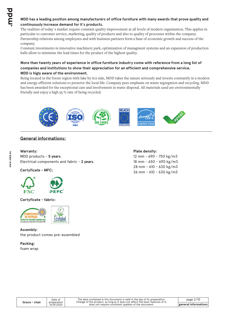### **MDD has a leading position among manufacturers of office furniture with many awards that prove quality and continuously increase demand for it`s products.**

The realities of today`s market require constant quality improvement at all levels of modern organization. This applies in particular to customer service, marketing, quality of products and also to quality of processes within the company. Partnership relations among employees and with business partners form a base of economic growth and success of the company.

Constant investments in innovative machinery park, optimization of managment systems and an expansion of production halls allow to minimize the lead times for the product of the highest quality.

### **More than twenty years of experience in office furniture industry come with reference from a long list of companies and institutions to show their appreciation for an efficient and comprehensive service. MDD is higly aware of the environment.**

Being located in the forest region with lake by it1s side, MDD takes the nature seriously and invests constantly in a modern and energy-efficient solutions to preserve the local life. Company puts emphasis on waste segregation and recycling. MDD has been awarded for the exceptional care and involvement in waste disposal. All materials used are environmentally friendly and enjoy a high 95 % rate of being recycled.



### **General informations:**

### **Warranty :**

MDD products - **5 years**. Electrical components and fabric - **2 years**.

### **Certyficate - MFC:**



**Certyficate - fabric:**



**Assembly:** the product comes pre-assembled

**Packing:** foam wrap

### **Plate density:**

12 mm - 690 - 750 kg/m3 18 mm - 650 - 690 kg/m3 28 mm - 610 - 630 kg/m3 36 mm - 610 - 630 kg/m3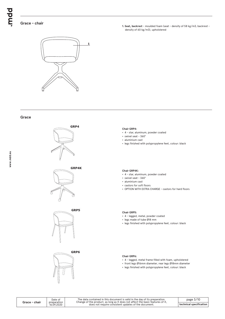### **Grace - chair**

**1. Seat, backrest** - moulded foam (seat - density of 58 kg/m3, backrest density of 60 kg/m3), upholstered



### **Grace**









### **Chair GRP4:**

- 4 star, aluminum, powder coated
- swivel seat 360°
- aluminium cast
- legs finished with polypropylene feet, colour: black

### **Chair GRP4K:**

- 4 star, aluminum, powder coated
- swivel seat 360°
- aluminium cast
- castors for soft floors
- OPTION WITH EXTRA CHARGE castors for hard floors

### **Chair GRP5:**

- 4 legged, metal, powder coated
- legs made of tube Ø18 mm
- legs finished with polypropylene feet, colour: black

### **Chair GRP6:**

- 4 legged, metal frame filled with foam, upholstered
- front legs Ø16mm diameter, rear legs Ø18mm diameter
- legs finished with polypropylene feet, colour: black

**www.mdd.eu**

The data contained in this document is valid in the day of its preparation.<br>Change of the product, as long as it does not affect the basic features of it,<br>does not require consistent updates of the document.

page 3/10 **technical specification**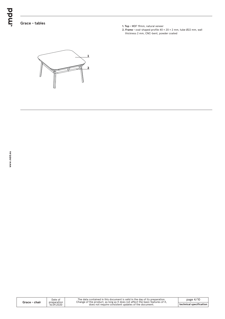bpun.

### **Grace - tables**

- **1. Top** MDF 19mm, natural veneer
- **2. Frame** oval-shaped profile 40 × 20 × 2 mm, tube Ø22 mm, wall thickness 2 mm, CNC-bent, powder coated



|  | Grace - chair |
|--|---------------|
|--|---------------|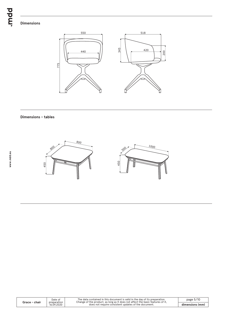### **Dimensions**



### **Dimensions - tables**



|               | Date of                   | The data contained in this document is valid in the dav of its preparation.<br>Change of the product, as long as it does not affect the basic features of it, | page $5/10$     |
|---------------|---------------------------|---------------------------------------------------------------------------------------------------------------------------------------------------------------|-----------------|
| Grace - chair | preparation<br>16.09.2020 | does not require consistent updates of the document.                                                                                                          | dimensions (mm) |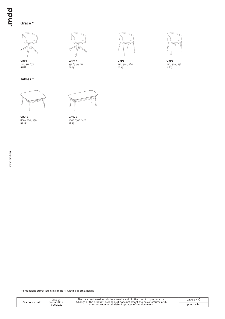### **Grace \***



**GRP4** 552 / 519 / 774 552 / 519 / 774 552 / 519 722 kg

## **Tables \***



**GR01S** 800 / 800 / 450  $20 \text{ kg}$ 



**GR02S** 1000 / 500 / 450

**GRP4K** 552 / 519 / 771<br>22 kg



**GRP5** 552 / 506 / 760 22 kg



**GRP6** 552 / 506 / 758 21 kg

**Grace - chair**

The data contained in this document is valid in the day of its preparation.<br>Change of the product, as long as it does not affect the basic features of it,<br>does not require consistent updates of the document.

page 6/10 **products**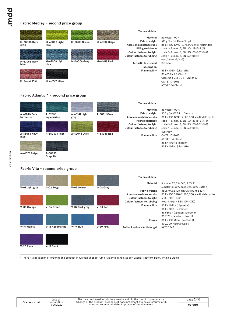### **Fabric Medley - second price group**

| M-68005 Dark<br>olive | M-68002 Light<br>olive | M-68115 Green | M-61002 Beige | Technical data:<br>Material<br><b>Fabric weight</b><br>Abrasion resistance rubs<br><b>Pilling resistance</b><br>Colour fastness to light | polyester 100%<br>510 g/lm (16.45 oz/lin.yd.)<br>BS EN ISO 12947-2, 75,000 cykli Martindale<br>scale 1-5, max, 5, EN ISO 12945-2 (4)<br>scale 1-8, max. 8, EN ISO 105-B02 (5-7) |
|-----------------------|------------------------|---------------|---------------|------------------------------------------------------------------------------------------------------------------------------------------|---------------------------------------------------------------------------------------------------------------------------------------------------------------------------------|
| M-67053 Navy<br>blue  | M-67006 Light<br>blue  | M-66008 Grey  | M-64019 Red   | Colour fastness to rubbing<br>Acoustic test sound                                                                                        | scale 1-5, max. 5, EN ISO 105x12<br>(wet/dry (4-5/4-5)<br><b>ISO 354</b>                                                                                                        |
|                       |                        |               |               | absorption                                                                                                                               |                                                                                                                                                                                 |
|                       |                        |               |               | Flammability                                                                                                                             | BS EN 1021-1 (cigarette)                                                                                                                                                        |
|                       |                        |               |               |                                                                                                                                          | <b>BS 476 Part 7, Class 2</b>                                                                                                                                                   |
|                       |                        |               |               |                                                                                                                                          | Class Uno UNI 9174 - UNI 8457                                                                                                                                                   |
| M-63064 Pink          | M-60999 Black          |               |               |                                                                                                                                          | CA TB 117-2013                                                                                                                                                                  |
|                       |                        |               |               |                                                                                                                                          | ASTM E 84 Class I                                                                                                                                                               |
|                       |                        |               |               |                                                                                                                                          |                                                                                                                                                                                 |

### **Fabric Atlantic \* - second price group**



### **Fabric Vita - second price group**

|                 |                 |                |           | <b>Technical data:</b>       |                                             |
|-----------------|-----------------|----------------|-----------|------------------------------|---------------------------------------------|
|                 |                 |                |           | Material                     | Surface: 98,5% PVC, 1,5% PU                 |
| V-01 Light grey | V-02 Beige      | V-03 Yellow    | V-04 Grey |                              | Substrate: 50% poliester, 50% Cotton        |
|                 |                 |                |           | Fabric weight                | 850g/m2 ± 10% (1190G/lin. m ± 10%)          |
|                 |                 |                |           | Abrasion resistance rubs     | BS EN ISO 5470-2, 100,000 Martindale cycles |
|                 |                 |                |           | Colour fastness to light     | 6 (ISO 105 - B02)                           |
|                 |                 |                |           | Colour fastness to rubbing   | wet: 4, dry: 4 (ISO 105 - X12)              |
| V-05 Orange     | V-06 Green      | V-07 Dark grey | V-08 Red  | Flammability                 | BS EN 1021 - (cigarette)                    |
|                 |                 |                |           |                              | BS EN 1021 - 2 (match)                      |
|                 |                 |                |           |                              | BS 5852 - (Ignition Source 5)               |
|                 |                 |                |           |                              | BS 7176 - (Medium Hazard)                   |
|                 |                 |                |           | Flexes                       | BS EN ISO 7854 - Method B,                  |
|                 |                 |                |           |                              | 400.000 Flexing cycles                      |
| V-15 Violett    | V-18 Aquamarine | V-19 Blue      | V-20 Pink | Anti-microblal / Anti-fungal | AATCC 147                                   |
|                 |                 |                |           |                              |                                             |
| V-23 Plum       | V-12 Black      |                |           |                              |                                             |

**\*** There is a possibility of ordering the product in full colour spectrum of Atlantic range, as per Gabriel's pattern book, within 8 weeks

Date of preparation 16.09.2020 The data contained in this document is valid in the day of its preparation.<br>Change of the product, as long as it does not affect the basic features of it,<br>does not require consistent updates of the document.

page 7/10 **colours**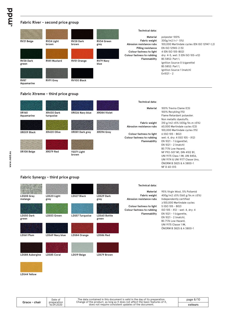### **Fabric River - second price group**



### **Fabric Xtreme - third price group**

|                            |                         |                      |              | <b>Technical data:</b>                                 |                                                                                                                                            |
|----------------------------|-------------------------|----------------------|--------------|--------------------------------------------------------|--------------------------------------------------------------------------------------------------------------------------------------------|
| <b>XR160</b><br>Aquamarine | XR430 Dark<br>turquoise | XR026 Navy blue      | XR084 Violet | Material                                               | 100% Trevira Clame (CS)<br>100% Recykling (YS)<br>Flame Retardant polyester.                                                               |
|                            |                         |                      |              | <b>Fabric weight</b><br>Abrasion resistance rubs       | Non metallic dyestuffs.<br>310 g/m2 ±5% (435g/lin.m ±5%)<br>60,000 Martindale cycles (CS)<br>100,000 Martindale cycles (YS)                |
| XR009 Black                | XR420 Olive             | XR081 Dark grey      | XR094 Grey   | Colour fastness to light<br>Colour fastness to rubbing | 6 (ISO 105 - B02)<br>wet: 4, dry: 4 (ISO 105 - X12)                                                                                        |
|                            |                         |                      |              | Flammability                                           | EN $1021 - 1$ (cigarette),<br>EN $1021 - 2$ (match)<br>BS 7176 Low Hazard.                                                                 |
| XR108 Beige                | XR079 Red               | YS071 Light<br>brown |              |                                                        | NF P92-507 M1, DIN 4102 B1,<br>UNI 9175 Class 1 IM, UNI 8456,<br>UNI 9174 & UNI 9177 Classe Uno.<br>ÖNORM B 3825 & A 3800-1<br>NF D 60-013 |

### **Fabric Synergy - third price group**

| LDS08 Grey<br>melange      | LDS20 Light<br>grey | <b>LDS27 Black</b>     | LDS29 Dark<br>grey           | Technical data:<br>Material<br><b>Fabric weight</b><br>Abrasion resistance rubs | 95% Virgin Wool, 5% Poliamid<br>400g/m2 ±5% (560 g/lin.m ±5%)<br>Independently certified<br>$\geq$ 100,000 Martindale cycles      |
|----------------------------|---------------------|------------------------|------------------------------|---------------------------------------------------------------------------------|-----------------------------------------------------------------------------------------------------------------------------------|
| <b>LDS50 Dark</b><br>green | LDS53 Green         | <b>LDS57 Turquoise</b> | <b>LDS60 Bottle</b><br>green | Colour fastness to light<br>Colour fastness to rubbing<br>Flammability          | 5 (ISO 105 - B02)<br>ISO 105 - X12 - wet: 4, dry: 4<br>EN $1021 - 1$ (cigarette,<br>EN $1021 - 2$ (match).<br>BS 7176 Low Hazard. |
| LDS61 Plum                 | LDS69 Navy blue     | LDS84 Orange           | LDS86 Red                    |                                                                                 | <b>UNI 9175 Classe 1 IM.</b><br>ÖNORM B 3825 & A 3800-1                                                                           |
|                            |                     |                        |                              |                                                                                 |                                                                                                                                   |

**LDS88 Aubergine LDS85 Coral**

**LDS19 Beige LDS79 Brown**



**LDS44 Yellow**

| Grace - chair | Date of<br>preparation<br>16.09.2020 | The data contained in this document is valid in the day of its preparation.<br>Change of the product, as long as it does not affect the basic features of it,<br>does not require consistent updates of the document. |
|---------------|--------------------------------------|-----------------------------------------------------------------------------------------------------------------------------------------------------------------------------------------------------------------------|
|---------------|--------------------------------------|-----------------------------------------------------------------------------------------------------------------------------------------------------------------------------------------------------------------------|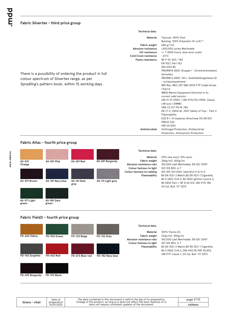### **Fabric Silvertex - third price group**

There is a possibility of ordering the product in full

Spradling's pattern book, within 15 working days.

colour spectrum of Silvertex range, as per

### **Technical data:**

**Antimicrobial**

### **Material**

**Fabric weight UV-resistance Cold Crack resistance Flame retardancy Abrasion resistance**

| Topcoat: 100% Vinyl                                              |
|------------------------------------------------------------------|
| Backing: 100% Polyesterr Hi-Loft <sup>2™</sup>                   |
| 685 gr/m2                                                        |
| >300,000 cycles Martindale                                       |
| >= 7 (1000 hours, blue wool scale)                               |
| $-23^{\circ}$ C                                                  |
| NF P 92-503 / M2                                                 |
| EN 1021, Part 1&2                                                |
| DIN 4102 B <sub>2</sub>                                          |
| ÖNORM B 3825, Gruppe I - Schwerbrennbares                        |
| Verhalten                                                        |
| ONORM A 3800, Teil I, Qualmbildungsklasse QI                     |
| - schwachqualmend<br>IMO Res. MSC.307 (88) (2010 FTP Code) Annex |
| I Part 8                                                         |
| (MED) Marine Equipment Directive in its                          |
| current valid version                                            |
| UNI 91 75 (1987) / UNI 9175/FAI (1994) Classe                    |
| I.IM (uno I EMME)                                                |
| UNE 23.727-90 IR / M2                                            |
| EN 71-2: 2006+AI: 2007 Safety of Toys - Part 2:                  |
| Flammability                                                     |
| ECE R I I 8 (replaces Directivee 95/28/EC)                       |
| <b>FMVSS 302</b>                                                 |
| FAR 25/853                                                       |
| Antifungal Protection, Antibacterial                             |
| Protection, Antimycotic Protection                               |
|                                                                  |

### **Fabric Atlas - fourth price group**



### **Fabric Field2 - fourth price group**



**FD-693 Burgundy**

**Grace - chair**

**FD-192 Black**

| 'ace - chair | Date of<br>preparation | The data contained in this document is valid in the day of its preparation.<br>Change of the product, as long as it does not affect the basic features of it, | page 9/10 |
|--------------|------------------------|---------------------------------------------------------------------------------------------------------------------------------------------------------------|-----------|
|              | 16.09.2020             | does not require consistent updates of the document.                                                                                                          | colours   |